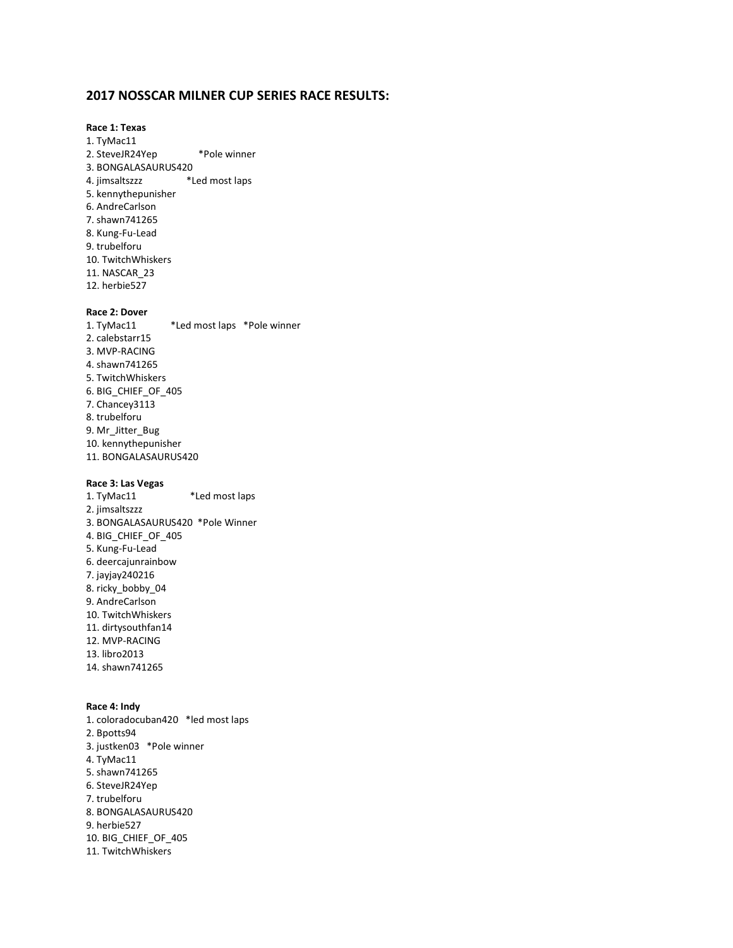#### **2017 NOSSCAR MILNER CUP SERIES RACE RESULTS:**

#### **Race 1: Texas** 1. TyMac11 2. SteveJR24Yep \*Pole winner 3. BONGALASAURUS420 4. jimsaltszzz \*Led most laps 5. kennythepunisher 6. AndreCarlson 7. shawn741265 8. Kung-Fu-Lead 9. trubelforu 10. TwitchWhiskers 11. NASCAR\_23 12. herbie527

#### **Race 2: Dover**

1. TyMac11 \*Led most laps \*Pole winner 2. calebstarr15 3. MVP-RACING 4. shawn741265 5. TwitchWhiskers 6. BIG\_CHIEF\_OF\_405 7. Chancey3113 8. trubelforu 9. Mr\_Jitter\_Bug 10. kennythepunisher 11. BONGALASAURUS420

#### **Race 3: Las Vegas**

1. TyMac11 \*Led most laps 2. jimsaltszzz 3. BONGALASAURUS420 \*Pole Winner 4. BIG\_CHIEF\_OF\_405 5. Kung-Fu-Lead 6. deercajunrainbow 7. jayjay240216 8. ricky\_bobby\_04 9. AndreCarlson 10. TwitchWhiskers 11. dirtysouthfan14 12. MVP-RACING 13. libro2013 14. shawn741265

#### **Race 4: Indy**

1. coloradocuban420 \*led most laps 2. Bpotts94 3. justken03 \*Pole winner 4. TyMac11 5. shawn741265 6. SteveJR24Yep 7. trubelforu 8. BONGALASAURUS420 9. herbie527 10. BIG\_CHIEF\_OF\_405 11. TwitchWhiskers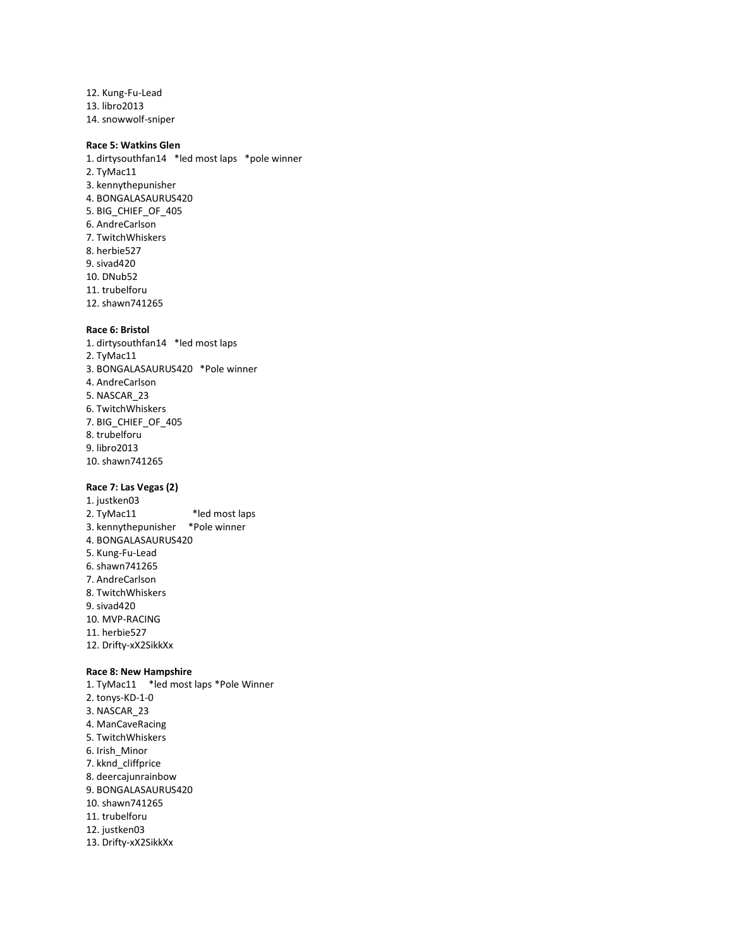12. Kung-Fu-Lead 13. libro2013 14. snowwolf-sniper

#### **Race 5: Watkins Glen**

1. dirtysouthfan14 \*led most laps \*pole winner 2. TyMac11 3. kennythepunisher 4. BONGALASAURUS420 5. BIG\_CHIEF\_OF\_405 6. AndreCarlson 7. TwitchWhiskers 8. herbie527 9. sivad420 10. DNub52 11. trubelforu 12. shawn741265

#### **Race 6: Bristol**

1. dirtysouthfan14 \*led most laps 2. TyMac11 3. BONGALASAURUS420 \*Pole winner 4. AndreCarlson 5. NASCAR\_23 6. TwitchWhiskers 7. BIG\_CHIEF\_OF\_405 8. trubelforu 9. libro2013 10. shawn741265

#### **Race 7: Las Vegas (2)**

1. justken03 2. TyMac11 \*led most laps 3. kennythepunisher \*Pole winner 4. BONGALASAURUS420 5. Kung-Fu-Lead 6. shawn741265 7. AndreCarlson 8. TwitchWhiskers 9. sivad420 10. MVP-RACING 11. herbie527 12. Drifty-xX2SikkXx

#### **Race 8: New Hampshire**

1. TyMac11 \*led most laps \*Pole Winner 2. tonys-KD-1-0 3. NASCAR\_23 4. ManCaveRacing 5. TwitchWhiskers 6. Irish\_Minor 7. kknd\_cliffprice 8. deercajunrainbow 9. BONGALASAURUS420 10. shawn741265 11. trubelforu 12. justken03 13. Drifty-xX2SikkXx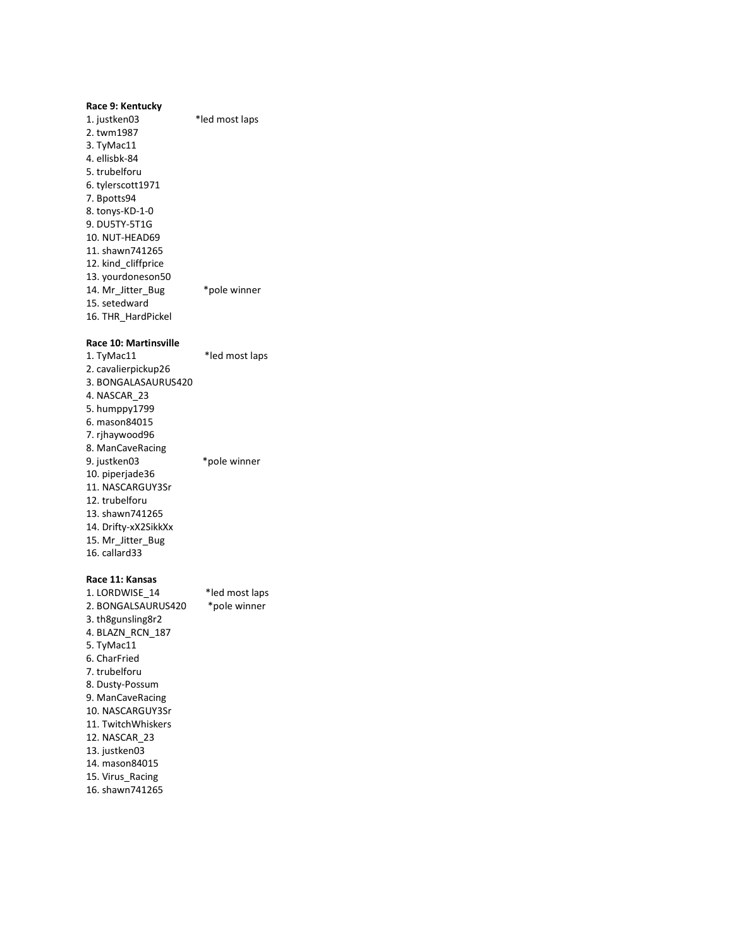| Race 9: Kentucky             |                |
|------------------------------|----------------|
| 1. justken03                 | *led most laps |
| 2. twm1987                   |                |
| 3. TyMac11                   |                |
| 4. ellisbk-84                |                |
| 5. trubelforu                |                |
| 6. tylerscott1971            |                |
| 7. Bpotts94                  |                |
| 8. tonys-KD-1-0              |                |
| 9. DU5TY-5T1G                |                |
| 10. NUT-HEAD69               |                |
| 11. shawn741265              |                |
| 12. kind_cliffprice          |                |
| 13. yourdoneson50            |                |
| 14. Mr_Jitter_Bug            | *pole winner   |
| 15. setedward                |                |
| 16. THR HardPickel           |                |
|                              |                |
| <b>Race 10: Martinsville</b> |                |
| 1. TyMac11                   | *led most laps |
| 2. cavalierpickup26          |                |
| 3. BONGALASAURUS420          |                |
| 4. NASCAR_23                 |                |
| 5. humppy1799                |                |
| 6. mason84015                |                |
| 7. rjhaywood96               |                |
| 8. ManCaveRacing             |                |
| 9. justken03                 | *pole winner   |
| 10. piperjade36              |                |
| 11. NASCARGUY3Sr             |                |
| 12. trubelforu               |                |
| 13. shawn741265              |                |
| 14. Drifty-xX2SikkXx         |                |
| 15. Mr_Jitter_Bug            |                |
| 16. callard33                |                |
|                              |                |
| Race 11: Kansas              |                |
| 1. LORDWISE_14               | *led most laps |
| 2. BONGALSAURUS420           | *pole winner   |
| 3. th8gunsling8r2            |                |
| 4.BLAZN RCN 187              |                |
| 5. TyMac11                   |                |
| 6. CharFried                 |                |
| 7. trubelforu                |                |
| 8. Dusty-Possum              |                |
| 9. ManCaveRacing             |                |
| 10. NASCARGUY3Sr             |                |
| 11. TwitchWhiskers           |                |
| 12. NASCAR 23                |                |
| 13. justken03                |                |
| 14. mason84015               |                |
|                              |                |

15. Virus\_Racing

16. shawn741265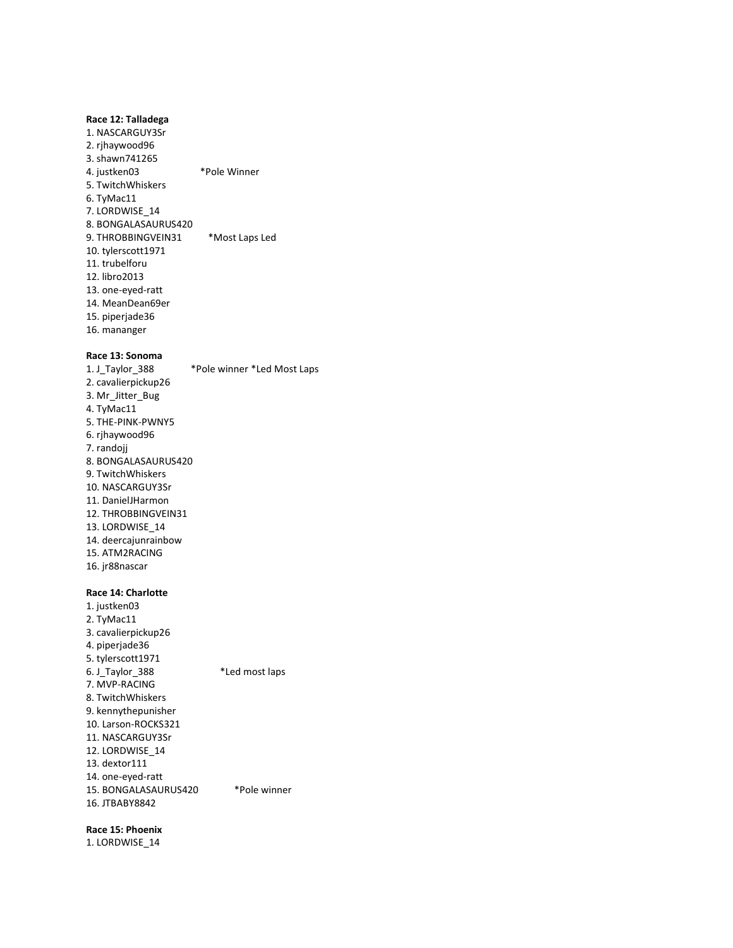#### **Race 12: Talladega**

1. NASCARGUY3Sr 2. rjhaywood96 3. shawn741265 4. justken03 \*Pole Winner 5. TwitchWhiskers 6. TyMac11 7. LORDWISE\_14 8. BONGALASAURUS420 9. THROBBINGVEIN31 \*Most Laps Led 10. tylerscott1971 11. trubelforu 12. libro2013 13. one-eyed-ratt 14. MeanDean69er 15. piperjade36 16. mananger

## **Race 13: Sonoma**

1. J\_Taylor\_388 \*Pole winner \*Led Most Laps 2. cavalierpickup26 3. Mr\_Jitter\_Bug 4. TyMac11 5. THE-PINK-PWNY5 6. rjhaywood96 7. randojj 8. BONGALASAURUS420 9. TwitchWhiskers 10. NASCARGUY3Sr 11. DanielJHarmon 12. THROBBINGVEIN31 13. LORDWISE\_14 14. deercajunrainbow 15. ATM2RACING 16. jr88nascar

#### **Race 14: Charlotte**

1. justken03 2. TyMac11 3. cavalierpickup26 4. piperjade36 5. tylerscott1971 6. J\_Taylor\_388 \*Led most laps 7. MVP-RACING 8. TwitchWhiskers 9. kennythepunisher 10. Larson-ROCKS321 11. NASCARGUY3Sr 12. LORDWISE\_14 13. dextor111 14. one-eyed-ratt 15. BONGALASAURUS420 \*Pole winner 16. JTBABY8842

#### **Race 15: Phoenix**

1. LORDWISE\_14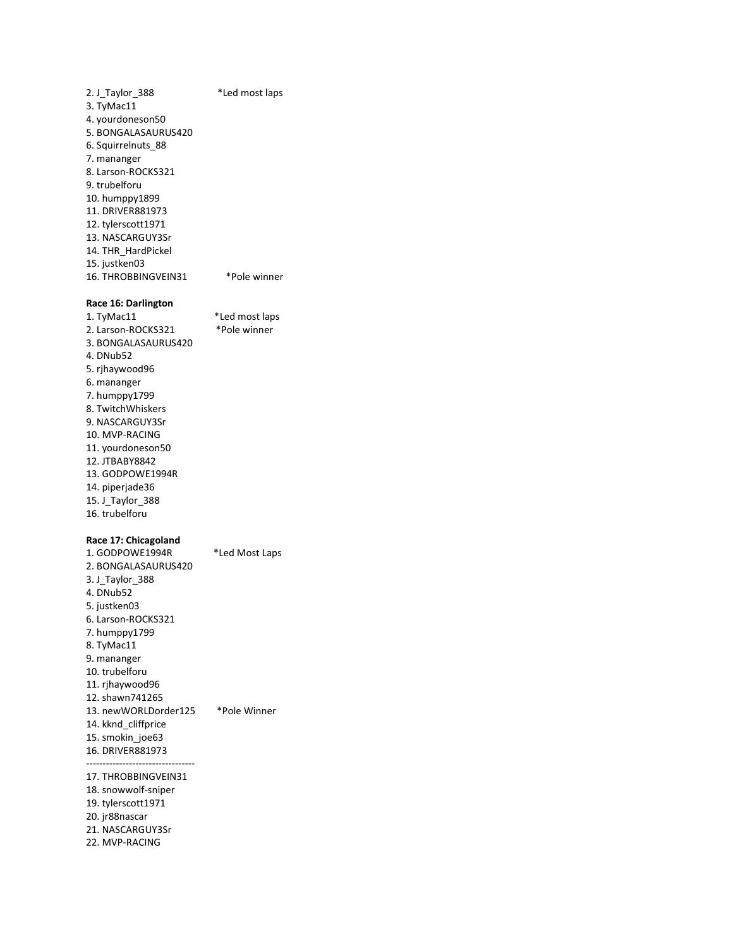2. J\_Taylor\_388 \*Led most laps 3. TyMac11 4. yourdoneson50 5. BONGALASAURUS420 6. Squirrelnuts\_88 7. mananger 8. Larson-ROCKS321 9. trubelforu 10. humppy1899 11. DRIVER881973 12. tylerscott1971 13. NASCARGUY3Sr 14. THR\_HardPickel 15. justken03 16. THROBBINGVEIN31 \*Pole winner **Race 16: Darlington** 1. TyMac11 \*Led most laps 2. Larson-ROCKS321 \*Pole winner 3. BONGALASAURUS420 4. DNub52 5. rjhaywood96 6. mananger 7. humppy1799 8. TwitchWhiskers 9. NASCARGUY3Sr 10. MVP-RACING 11. yourdoneson50 12. JTBABY8842 13. GODPOWE1994R 14. piperjade36 15. J\_Taylor\_388 16. trubelforu **Race 17: Chicagoland** 1. GODPOWE1994R \*Led Most Laps 2. BONGALASAURUS420 3. J\_Taylor\_388 4. DNub52 5. justken03 6. Larson-ROCKS321 7. humppy1799 8. TyMac11 9. mananger 10. trubelforu 11. rjhaywood96 12. shawn741265 13. newWORLDorder125 \*Pole Winner 14. kknd\_cliffprice 15. smokin\_joe63 16. DRIVER881973 --------------------------------- 17. THROBBINGVEIN31 18. snowwolf-sniper 19. tylerscott1971 20. jr88nascar 21. NASCARGUY3Sr 22. MVP-RACING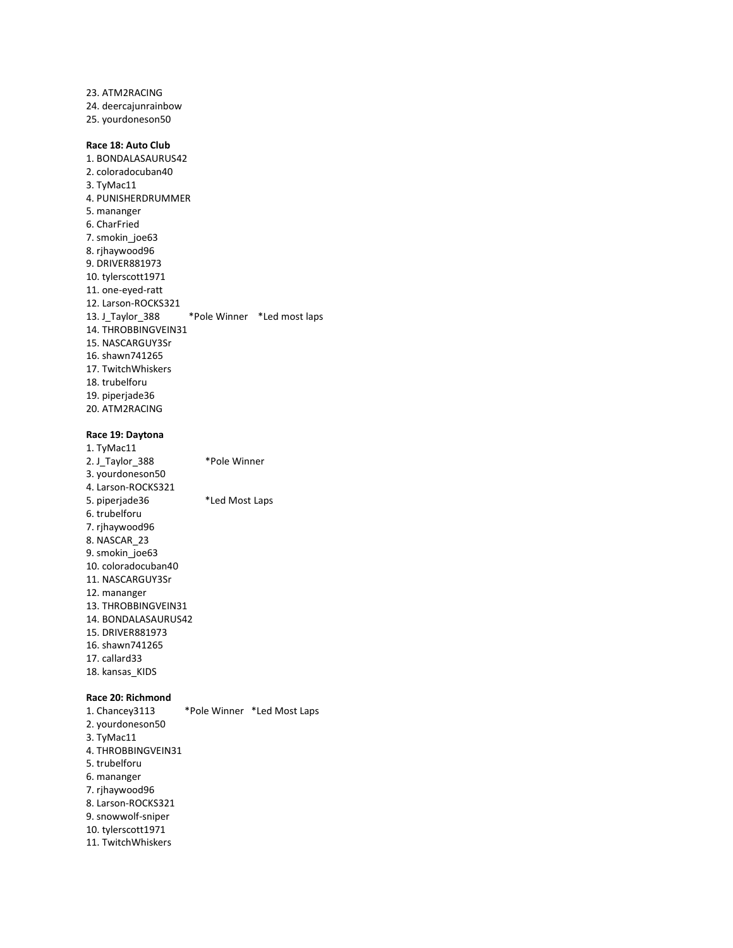23. ATM2RACING 24. deercajunrainbow 25. yourdoneson50 **Race 18: Auto Club** 1. BONDALASAURUS42 2. coloradocuban40 3. TyMac11 4. PUNISHERDRUMMER 5. mananger 6. CharFried 7. smokin\_joe63 8. rjhaywood96 9. DRIVER881973 10. tylerscott1971 11. one-eyed-ratt 12. Larson-ROCKS321 13. J\_Taylor\_388 \*Pole Winner \*Led most laps 14. THROBBINGVEIN31 15. NASCARGUY3Sr

16. shawn741265 17. TwitchWhiskers 18. trubelforu 19. piperjade36 20. ATM2RACING

#### **Race 19: Daytona**

1. TyMac11 2. J\_Taylor\_388 \*Pole Winner 3. yourdoneson50 4. Larson-ROCKS321 5. piperjade36 \*Led Most Laps 6. trubelforu 7. rjhaywood96 8. NASCAR\_23 9. smokin\_joe63 10. coloradocuban40 11. NASCARGUY3Sr 12. mananger 13. THROBBINGVEIN31 14. BONDALASAURUS42 15. DRIVER881973 16. shawn741265 17. callard33 18. kansas\_KIDS

#### **Race 20: Richmond**

1. Chancey3113 \*Pole Winner \*Led Most Laps 2. yourdoneson50 3. TyMac11 4. THROBBINGVEIN31 5. trubelforu 6. mananger 7. rjhaywood96 8. Larson-ROCKS321 9. snowwolf-sniper 10. tylerscott1971 11. TwitchWhiskers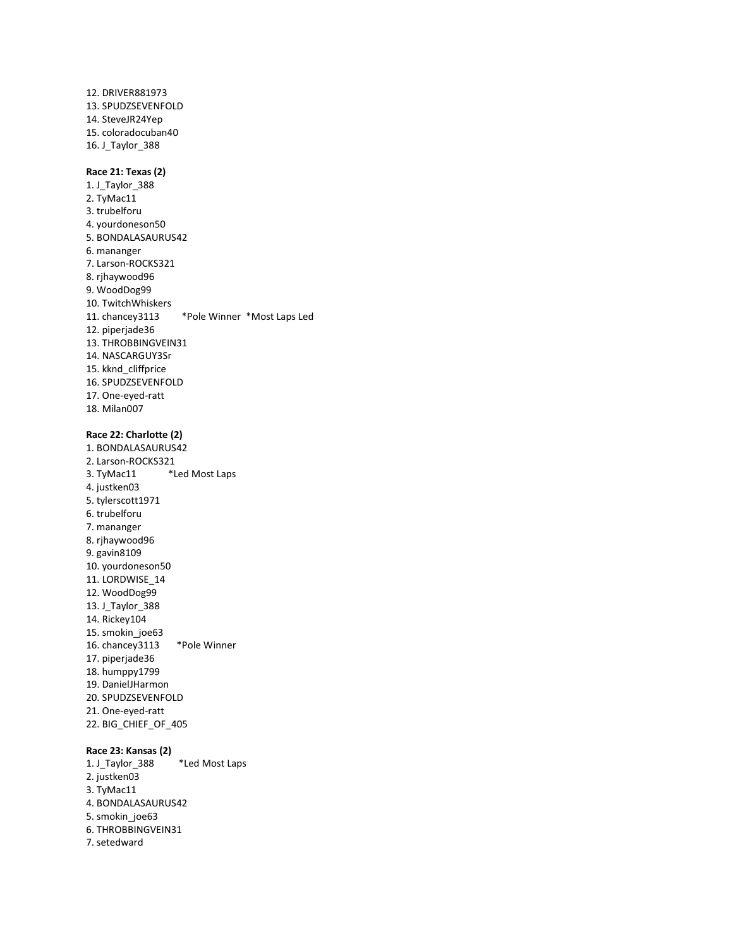12. DRIVER881973 13. SPUDZSEVENFOLD 14. SteveJR24Yep 15. coloradocuban40 16. J\_Taylor\_388

#### **Race 21: Texas (2)**

1. J\_Taylor\_388 2. TyMac11 3. trubelforu 4. yourdoneson50 5. BONDALASAURUS42 6. mananger 7. Larson-ROCKS321 8. rjhaywood96 9. WoodDog99 10. TwitchWhiskers 11. chancey3113 \*Pole Winner \*Most Laps Led 12. piperjade36 13. THROBBINGVEIN31 14. NASCARGUY3Sr 15. kknd\_cliffprice 16. SPUDZSEVENFOLD 17. One-eyed-ratt 18. Milan007

# **Race 22: Charlotte (2)**

1. BONDALASAURUS42 2. Larson-ROCKS321 3. TyMac11 \*Led Most Laps 4. justken03 5. tylerscott1971 6. trubelforu 7. mananger 8. rjhaywood96 9. gavin8109 10. yourdoneson50 11. LORDWISE\_14 12. WoodDog99 13. J\_Taylor\_388 14. Rickey104 15. smokin\_joe63 16. chancey3113 \*Pole Winner 17. piperjade36 18. humppy1799 19. DanielJHarmon 20. SPUDZSEVENFOLD 21. One-eyed-ratt 22. BIG\_CHIEF\_OF\_405

#### **Race 23: Kansas (2)**

1. J\_Taylor\_388 \*Led Most Laps 2. justken03 3. TyMac11 4. BONDALASAURUS42 5. smokin\_joe63 6. THROBBINGVEIN31 7. setedward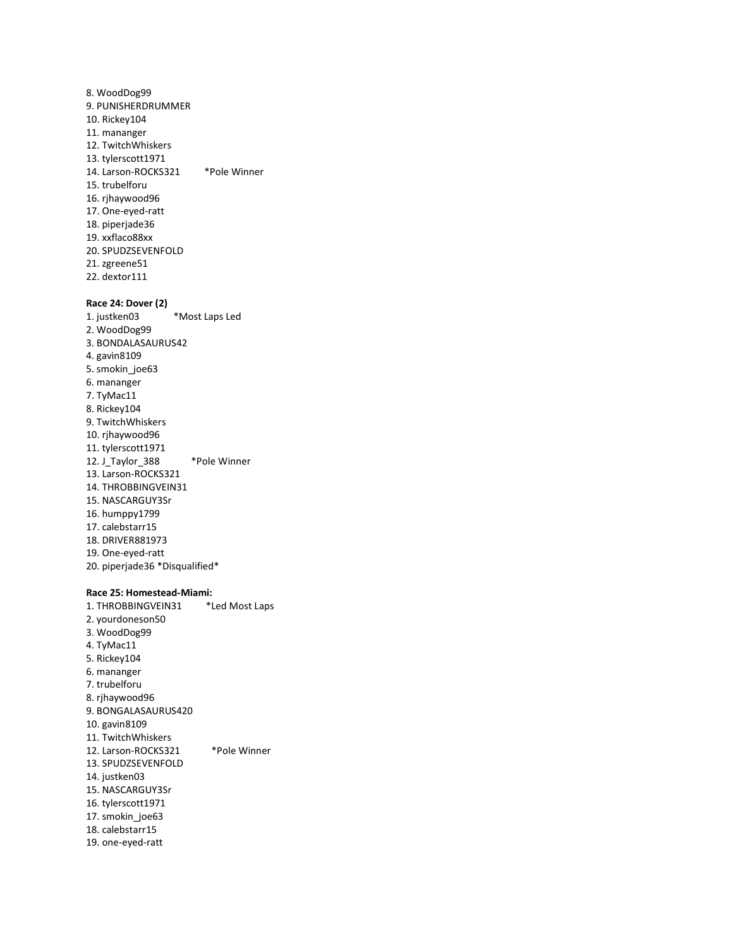8. WoodDog99 9. PUNISHERDRUMMER 10. Rickey104 11. mananger 12. TwitchWhiskers 13. tylerscott1971 14. Larson-ROCKS321 \*Pole Winner 15. trubelforu 16. rjhaywood96 17. One-eyed-ratt 18. piperjade36 19. xxflaco88xx 20. SPUDZSEVENFOLD 21. zgreene51 22. dextor111 **Race 24: Dover (2)** 1. justken03 \*Most Laps Led 2. WoodDog99 3. BONDALASAURUS42 4. gavin8109 5. smokin\_joe63 6. mananger 7. TyMac11 8. Rickey104 9. TwitchWhiskers 10. rjhaywood96 11. tylerscott1971 12. J\_Taylor\_388 \*Pole Winner 13. Larson-ROCKS321 14. THROBBINGVEIN31 15. NASCARGUY3Sr 16. humppy1799 17. calebstarr15 18. DRIVER881973 19. One-eyed-ratt 20. piperjade36 \*Disqualified\* **Race 25: Homestead-Miami:** 1. THROBBINGVEIN31 \*Led Most Laps

2. yourdoneson50 3. WoodDog99 4. TyMac11 5. Rickey104 6. mananger 7. trubelforu 8. rjhaywood96 9. BONGALASAURUS420 10. gavin8109 11. TwitchWhiskers 12. Larson-ROCKS321 \*Pole Winner 13. SPUDZSEVENFOLD 14. justken03 15. NASCARGUY3Sr 16. tylerscott1971 17. smokin\_joe63 18. calebstarr15 19. one-eyed-ratt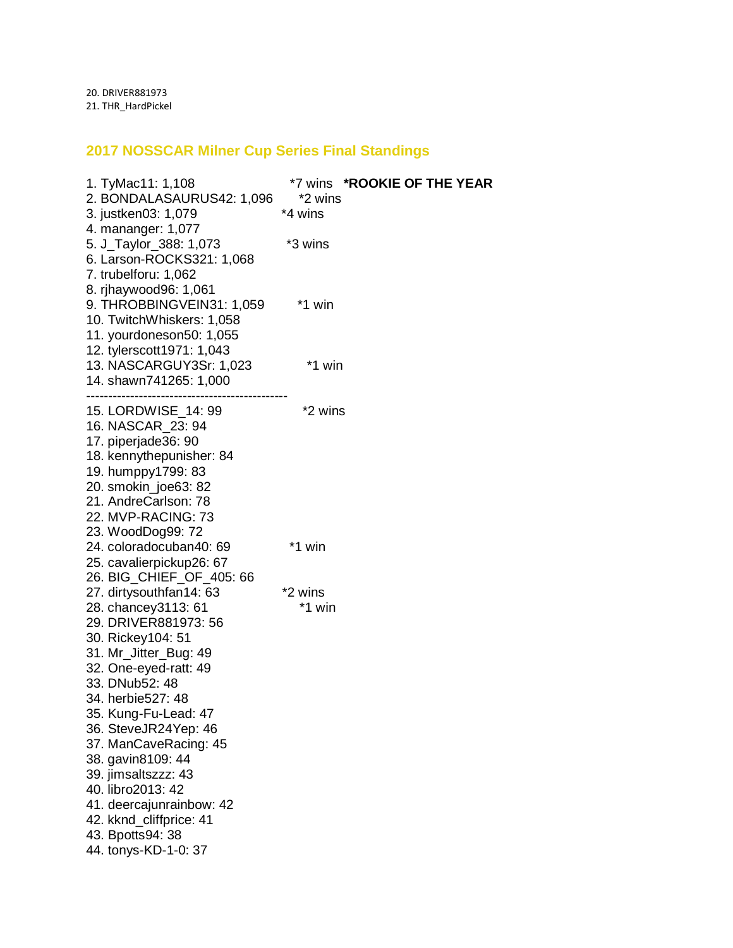20. DRIVER881973 21. THR\_HardPickel

# **2017 NOSSCAR Milner Cup Series Final Standings**

| 1. TyMac11: 1,108<br>2. BONDALASAURUS42: 1,096<br>3. justken03: 1,079                                                                                                                                                                                                                                                            | *7 wins *ROOKIE OF THE YEAR<br>*2 wins<br>*4 wins |
|----------------------------------------------------------------------------------------------------------------------------------------------------------------------------------------------------------------------------------------------------------------------------------------------------------------------------------|---------------------------------------------------|
| 4. mananger: 1,077<br>5. J_Taylor_388: 1,073<br>6. Larson-ROCKS321: 1,068<br>7. trubelforu: 1,062                                                                                                                                                                                                                                | *3 wins                                           |
| 8. rjhaywood96: 1,061<br>9. THROBBINGVEIN31: 1,059<br>10. TwitchWhiskers: 1,058<br>11. yourdoneson50: 1,055<br>12. tylerscott1971: 1,043                                                                                                                                                                                         | *1 win                                            |
| 13. NASCARGUY3Sr: 1,023<br>14. shawn741265: 1,000                                                                                                                                                                                                                                                                                | *1 win                                            |
| 15. LORDWISE_14: 99<br>16. NASCAR 23: 94<br>17. piperjade36: 90<br>18. kennythepunisher: 84<br>19. humppy1799: 83<br>20. smokin_joe63: 82<br>21. AndreCarlson: 78<br>22. MVP-RACING: 73<br>23. WoodDog99: 72                                                                                                                     | *2 wins                                           |
| 24. coloradocuban40: 69<br>25. cavalierpickup26: 67<br>26. BIG_CHIEF_OF_405: 66                                                                                                                                                                                                                                                  | *1 win                                            |
| 27. dirtysouthfan14: 63                                                                                                                                                                                                                                                                                                          | *2 wins                                           |
| 28. chancey 3113: 61<br>29. DRIVER881973: 56<br>30. Rickey104: 51<br>31. Mr_Jitter_Bug: 49<br>32. One-eyed-ratt: 49<br>33. DNub52: 48<br>34. herbie527: 48<br>35. Kung-Fu-Lead: 47<br>36. SteveJR24Yep: 46<br>37. ManCaveRacing: 45<br>38. gavin8109: 44<br>39. jimsaltszzz: 43<br>40. libro2013: 42<br>41. deercajunrainbow: 42 | *1 win                                            |
| 42. kknd_cliffprice: 41<br>43. Bpotts94: 38                                                                                                                                                                                                                                                                                      |                                                   |
| 44. tonys-KD-1-0: 37                                                                                                                                                                                                                                                                                                             |                                                   |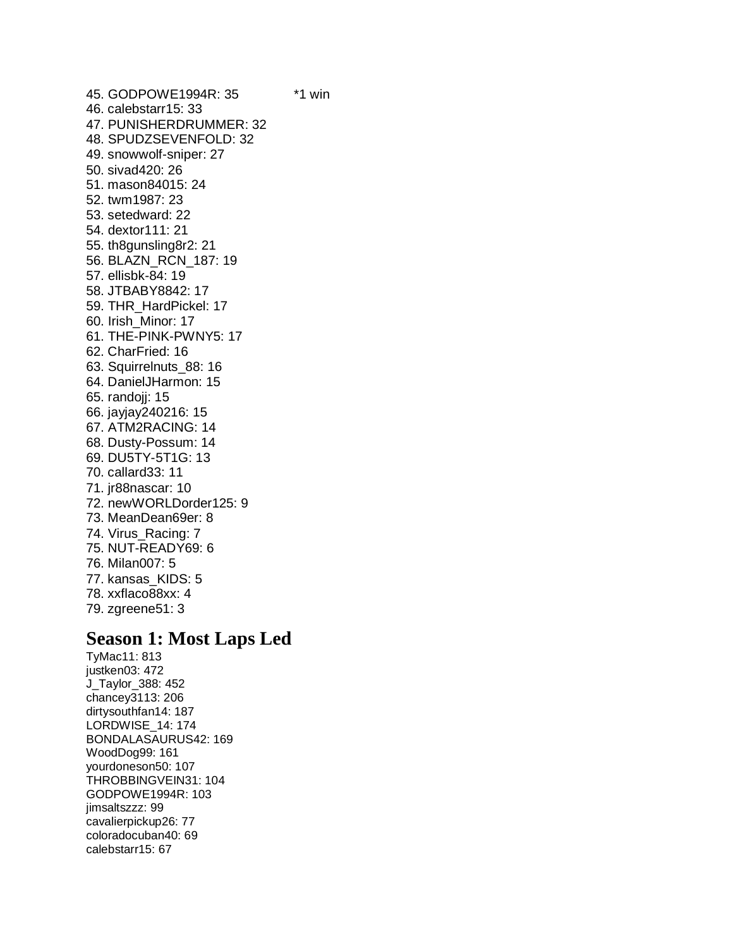45. GODPOWE1994R: 35 \*1 win 46. calebstarr15: 33 47. PUNISHERDRUMMER: 32 48. SPUDZSEVENFOLD: 32 49. snowwolf-sniper: 27 50. sivad420: 26 51. mason84015: 24 52. twm1987: 23 53. setedward: 22 54. dextor111: 21 55. th8gunsling8r2: 21 56. BLAZN\_RCN\_187: 19 57. ellisbk-84: 19 58. JTBABY8842: 17 59. THR\_HardPickel: 17 60. Irish\_Minor: 17 61. THE-PINK-PWNY5: 17 62. CharFried: 16 63. Squirrelnuts\_88: 16 64. DanielJHarmon: 15 65. randojj: 15 66. jayjay240216: 15 67. ATM2RACING: 14 68. Dusty-Possum: 14 69. DU5TY-5T1G: 13 70. callard33: 11 71. jr88nascar: 10 72. newWORLDorder125: 9 73. MeanDean69er: 8 74. Virus\_Racing: 7 75. NUT-READY69: 6 76. Milan007: 5 77. kansas\_KIDS: 5 78. xxflaco88xx: 4 79. zgreene51: 3

# **Season 1: Most Laps Led**

TyMac11: 813 justken03: 472 J\_Taylor\_388: 452 chancey3113: 206 dirtysouthfan14: 187 LORDWISE\_14: 174 BONDALASAURUS42: 169 WoodDog99: 161 yourdoneson50: 107 THROBBINGVEIN31: 104 GODPOWE1994R: 103 jimsaltszzz: 99 cavalierpickup26: 77 coloradocuban40: 69 calebstarr15: 67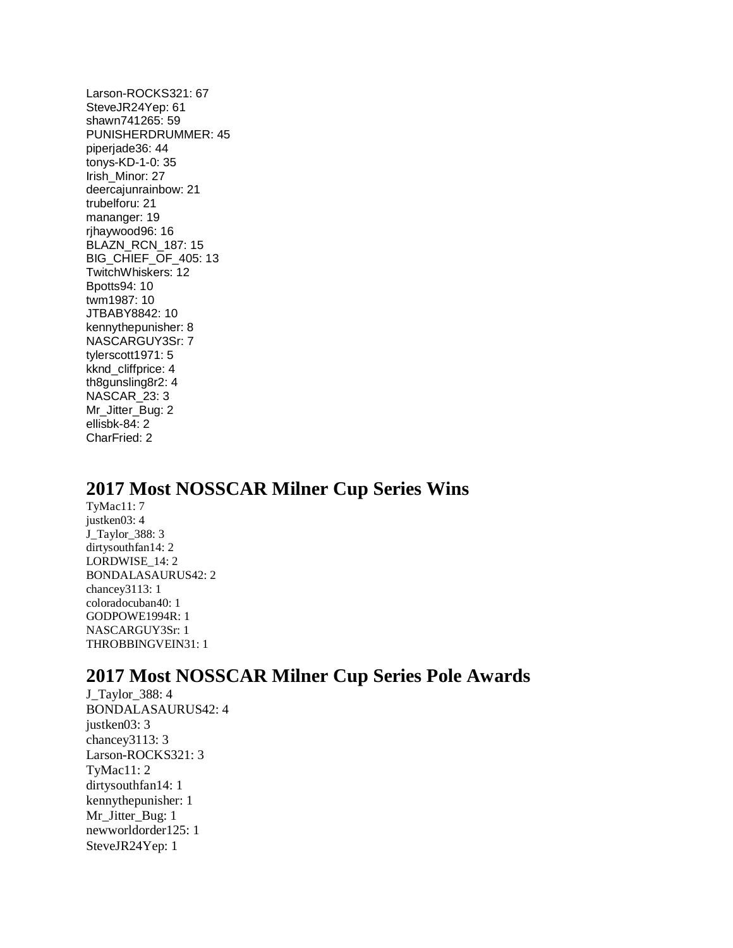Larson-ROCKS321: 67 SteveJR24Yep: 61 shawn741265: 59 PUNISHERDRUMMER: 45 piperjade36: 44 tonys-KD-1-0: 35 Irish\_Minor: 27 deercajunrainbow: 21 trubelforu: 21 mananger: 19 rjhaywood96: 16 BLAZN\_RCN\_187: 15 BIG\_CHIEF\_OF\_405: 13 TwitchWhiskers: 12 Bpotts94: 10 twm1987: 10 JTBABY8842: 10 kennythepunisher: 8 NASCARGUY3Sr: 7 tylerscott1971: 5 kknd\_cliffprice: 4 th8gunsling8r2: 4 NASCAR\_23: 3 Mr\_Jitter\_Bug: 2 ellisbk-84: 2 CharFried: 2

# **2017 Most NOSSCAR Milner Cup Series Wins**

TyMac11: 7 justken03: 4 J\_Taylor\_388: 3 dirtysouthfan14: 2 LORDWISE\_14: 2 BONDALASAURUS42: 2 chancey3113: 1 coloradocuban40: 1 GODPOWE1994R: 1 NASCARGUY3Sr: 1 THROBBINGVEIN31: 1

# **2017 Most NOSSCAR Milner Cup Series Pole Awards**

J\_Taylor\_388: 4 BONDALASAURUS42: 4 justken03: 3 chancey3113: 3 Larson-ROCKS321: 3 TyMac11: 2 dirtysouthfan14: 1 kennythepunisher: 1 Mr\_Jitter\_Bug: 1 newworldorder125: 1 SteveJR24Yep: 1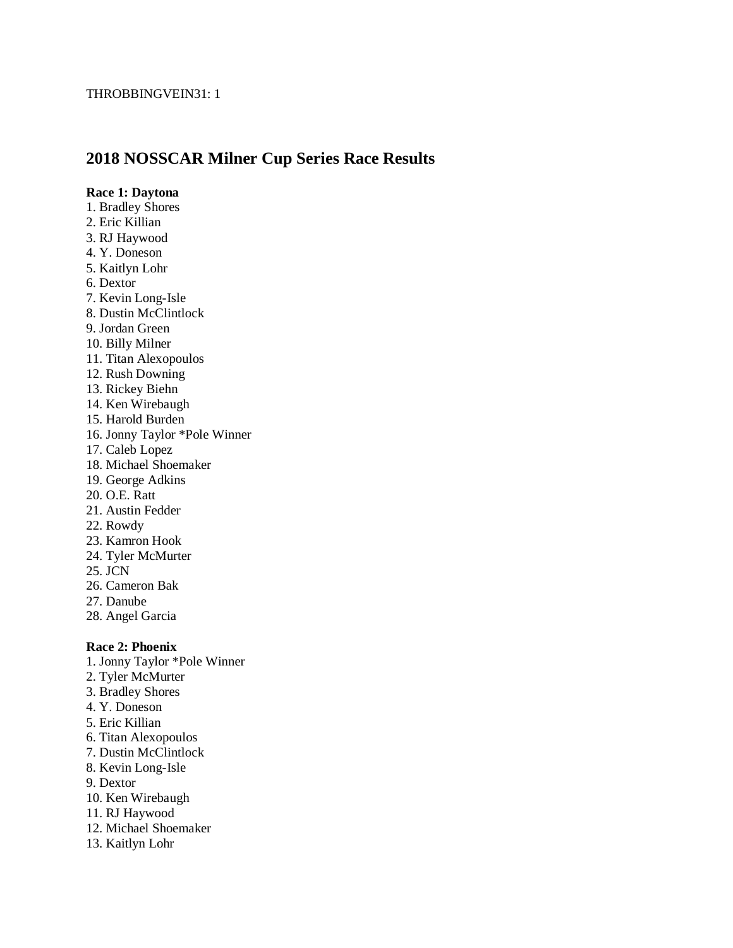# **2018 NOSSCAR Milner Cup Series Race Results**

#### **Race 1: Daytona**

- 1. Bradley Shores
- 2. Eric Killian
- 3. RJ Haywood
- 4. Y. Doneson
- 5. Kaitlyn Lohr
- 6. Dextor
- 7. Kevin Long-Isle
- 8. Dustin McClintlock
- 9. Jordan Green
- 10. Billy Milner
- 11. Titan Alexopoulos
- 12. Rush Downing
- 13. Rickey Biehn
- 14. Ken Wirebaugh
- 15. Harold Burden
- 16. Jonny Taylor \*Pole Winner
- 17. Caleb Lopez
- 18. Michael Shoemaker
- 19. George Adkins
- 20. O.E. Ratt
- 21. Austin Fedder
- 22. Rowdy
- 23. Kamron Hook
- 24. Tyler McMurter
- 25. JCN
- 26. Cameron Bak
- 27. Danube
- 28. Angel Garcia

#### **Race 2: Phoenix**

- 1. Jonny Taylor \*Pole Winner
- 2. Tyler McMurter
- 3. Bradley Shores
- 4. Y. Doneson
- 5. Eric Killian
- 6. Titan Alexopoulos
- 7. Dustin McClintlock
- 8. Kevin Long-Isle
- 9. Dextor
- 10. Ken Wirebaugh
- 11. RJ Haywood
- 12. Michael Shoemaker
- 13. Kaitlyn Lohr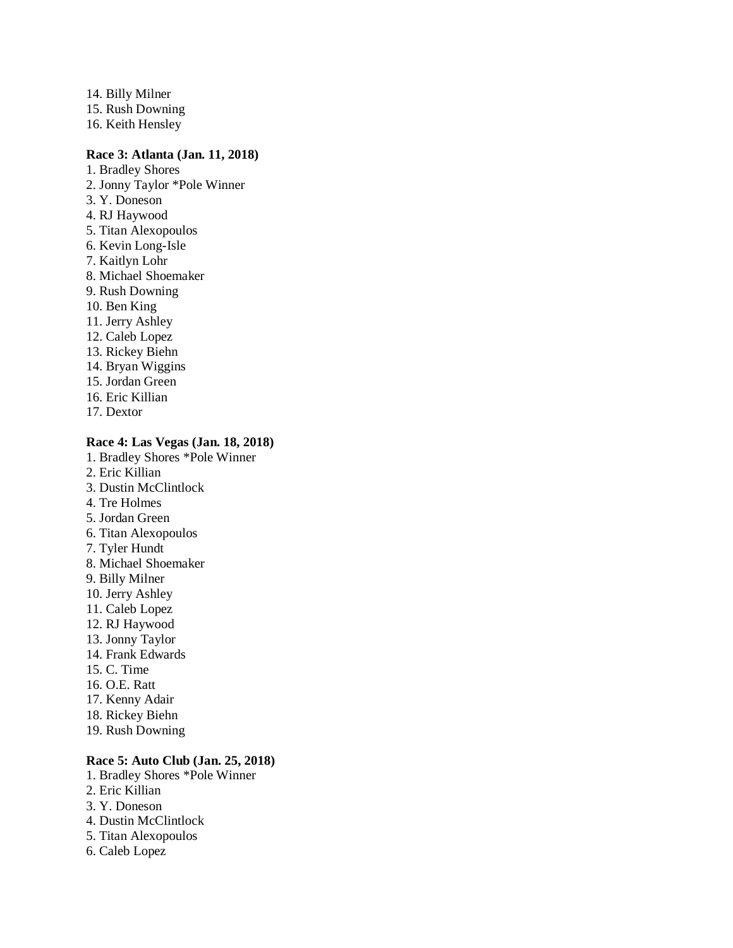14. Billy Milner 15. Rush Downing 16. Keith Hensley

#### **Race 3: Atlanta (Jan. 11, 2018)**

- 1. Bradley Shores 2. Jonny Taylor \*Pole Winner 3. Y. Doneson 4. RJ Haywood 5. Titan Alexopoulos 6. Kevin Long-Isle 7. Kaitlyn Lohr 8. Michael Shoemaker 9. Rush Downing 10. Ben King 11. Jerry Ashley 12. Caleb Lopez 13. Rickey Biehn 14. Bryan Wiggins 15. Jordan Green 16. Eric Killian
- 17. Dextor

#### **Race 4: Las Vegas (Jan. 18, 2018)**

- 1. Bradley Shores \*Pole Winner
- 2. Eric Killian
- 3. Dustin McClintlock
- 4. Tre Holmes
- 5. Jordan Green
- 6. Titan Alexopoulos
- 7. Tyler Hundt
- 8. Michael Shoemaker
- 9. Billy Milner
- 10. Jerry Ashley
- 11. Caleb Lopez
- 12. RJ Haywood
- 13. Jonny Taylor
- 14. Frank Edwards
- 15. C. Time
- 16. O.E. Ratt
- 17. Kenny Adair
- 18. Rickey Biehn
- 19. Rush Downing

# **Race 5: Auto Club (Jan. 25, 2018)**

- 1. Bradley Shores \*Pole Winner
- 2. Eric Killian
- 3. Y. Doneson
- 4. Dustin McClintlock
- 5. Titan Alexopoulos
- 6. Caleb Lopez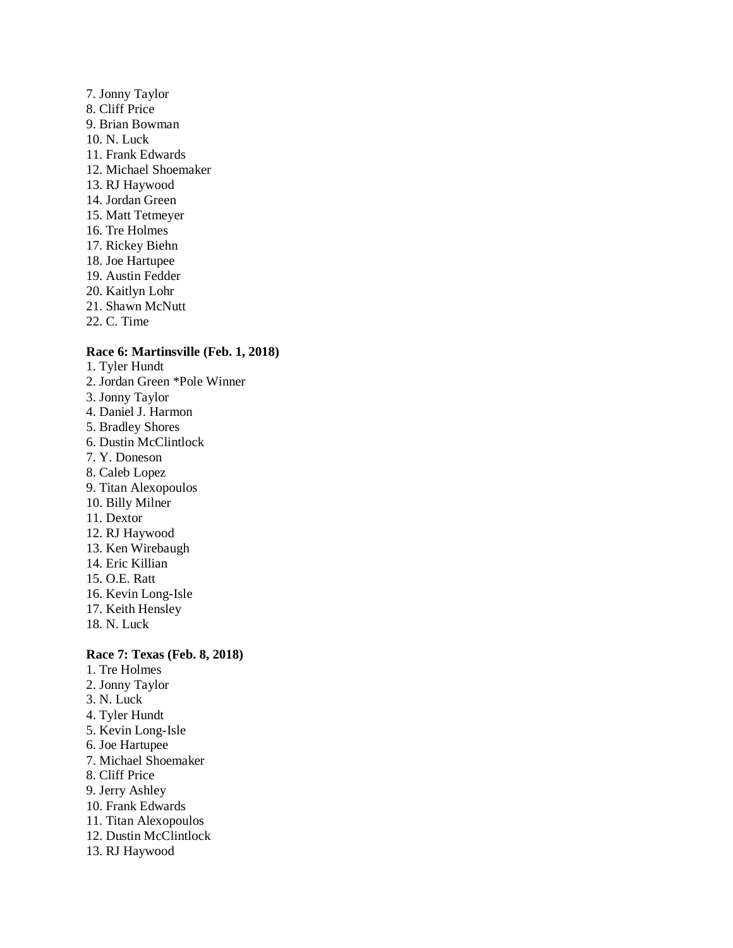- 7. Jonny Taylor 8. Cliff Price 9. Brian Bowman 10. N. Luck 11. Frank Edwards 12. Michael Shoemaker 13. RJ Haywood 14. Jordan Green 15. Matt Tetmeyer 16. Tre Holmes 17. Rickey Biehn 18. Joe Hartupee 19. Austin Fedder 20. Kaitlyn Lohr
- 21. Shawn McNutt
- 22. C. Time

# **Race 6: Martinsville (Feb. 1, 2018)**

- 1. Tyler Hundt
- 2. Jordan Green \*Pole Winner
- 3. Jonny Taylor
- 4. Daniel J. Harmon
- 5. Bradley Shores
- 6. Dustin McClintlock
- 7. Y. Doneson
- 8. Caleb Lopez
- 9. Titan Alexopoulos
- 10. Billy Milner
- 11. Dextor
- 12. RJ Haywood
- 13. Ken Wirebaugh
- 14. Eric Killian
- 15. O.E. Ratt
- 16. Kevin Long-Isle
- 17. Keith Hensley
- 18. N. Luck

# **Race 7: Texas (Feb. 8, 2018)**

- 1. Tre Holmes
- 2. Jonny Taylor
- 3. N. Luck
- 4. Tyler Hundt
- 5. Kevin Long-Isle
- 6. Joe Hartupee
- 7. Michael Shoemaker
- 8. Cliff Price
- 9. Jerry Ashley
- 10. Frank Edwards
- 11. Titan Alexopoulos
- 12. Dustin McClintlock
- 13. RJ Haywood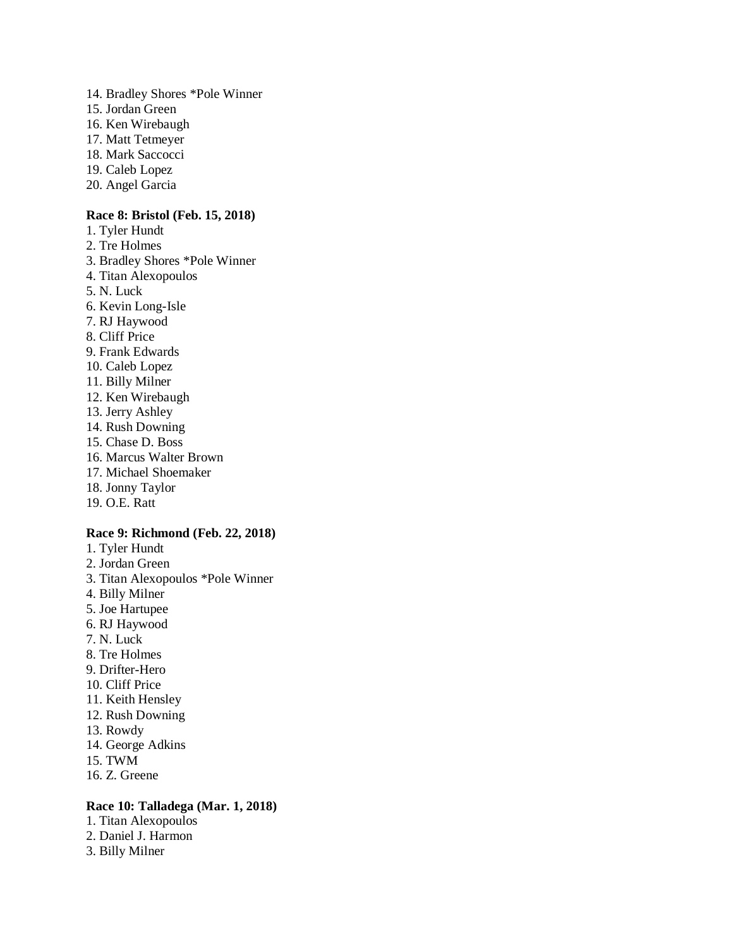14. Bradley Shores \*Pole Winner 15. Jordan Green 16. Ken Wirebaugh 17. Matt Tetmeyer 18. Mark Saccocci 19. Caleb Lopez 20. Angel Garcia

# **Race 8: Bristol (Feb. 15, 2018)**

- 1. Tyler Hundt
- 2. Tre Holmes
- 3. Bradley Shores \*Pole Winner
- 4. Titan Alexopoulos
- 5. N. Luck
- 6. Kevin Long-Isle
- 7. RJ Haywood
- 8. Cliff Price
- 9. Frank Edwards
- 10. Caleb Lopez
- 11. Billy Milner
- 12. Ken Wirebaugh
- 13. Jerry Ashley
- 14. Rush Downing
- 15. Chase D. Boss
- 16. Marcus Walter Brown
- 17. Michael Shoemaker
- 18. Jonny Taylor
- 19. O.E. Ratt

#### **Race 9: Richmond (Feb. 22, 2018)**

- 1. Tyler Hundt
- 2. Jordan Green
- 3. Titan Alexopoulos \*Pole Winner
- 4. Billy Milner
- 5. Joe Hartupee
- 6. RJ Haywood
- 7. N. Luck
- 8. Tre Holmes
- 9. Drifter-Hero
- 10. Cliff Price
- 11. Keith Hensley
- 12. Rush Downing
- 13. Rowdy
- 14. George Adkins
- 15. TWM
- 16. Z. Greene

# **Race 10: Talladega (Mar. 1, 2018)**

- 1. Titan Alexopoulos
- 2. Daniel J. Harmon
- 3. Billy Milner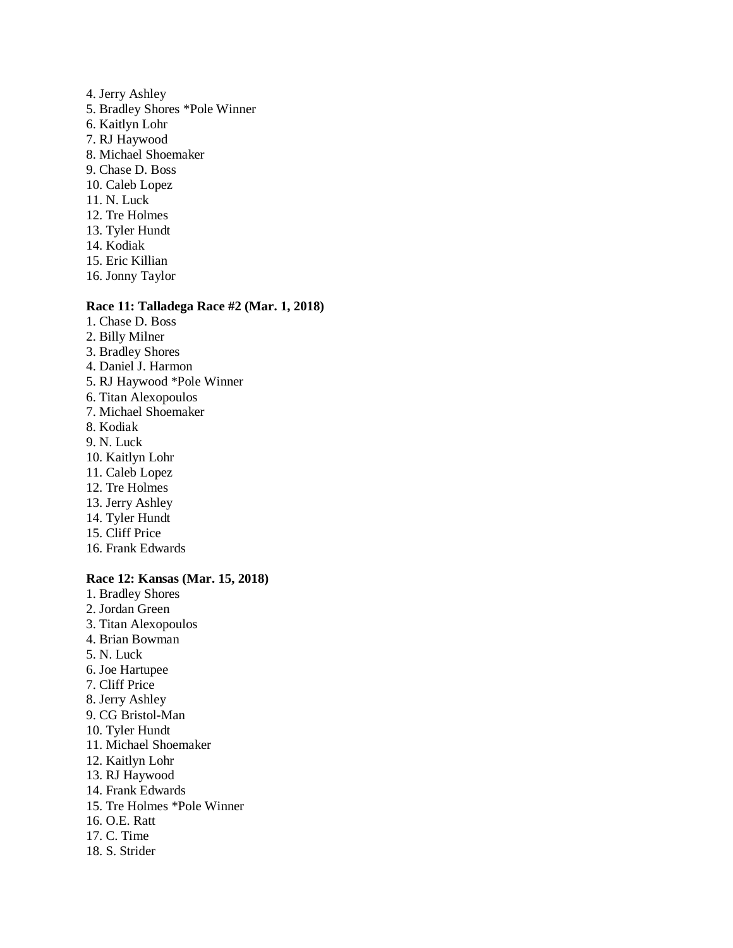- 4. Jerry Ashley 5. Bradley Shores \*Pole Winner 6. Kaitlyn Lohr 7. RJ Haywood 8. Michael Shoemaker 9. Chase D. Boss 10. Caleb Lopez 11. N. Luck 12. Tre Holmes 13. Tyler Hundt 14. Kodiak 15. Eric Killian
- 16. Jonny Taylor

#### **Race 11: Talladega Race #2 (Mar. 1, 2018)**

- 1. Chase D. Boss
- 2. Billy Milner
- 3. Bradley Shores
- 4. Daniel J. Harmon
- 5. RJ Haywood \*Pole Winner
- 6. Titan Alexopoulos
- 7. Michael Shoemaker
- 8. Kodiak
- 9. N. Luck
- 10. Kaitlyn Lohr
- 11. Caleb Lopez
- 12. Tre Holmes
- 13. Jerry Ashley
- 14. Tyler Hundt
- 15. Cliff Price
- 16. Frank Edwards

# **Race 12: Kansas (Mar. 15, 2018)**

- 1. Bradley Shores
- 2. Jordan Green
- 3. Titan Alexopoulos
- 4. Brian Bowman
- 5. N. Luck
- 6. Joe Hartupee
- 7. Cliff Price
- 8. Jerry Ashley
- 9. CG Bristol-Man
- 10. Tyler Hundt
- 11. Michael Shoemaker
- 12. Kaitlyn Lohr
- 13. RJ Haywood
- 14. Frank Edwards
- 15. Tre Holmes \*Pole Winner
- 16. O.E. Ratt
- 17. C. Time
- 18. S. Strider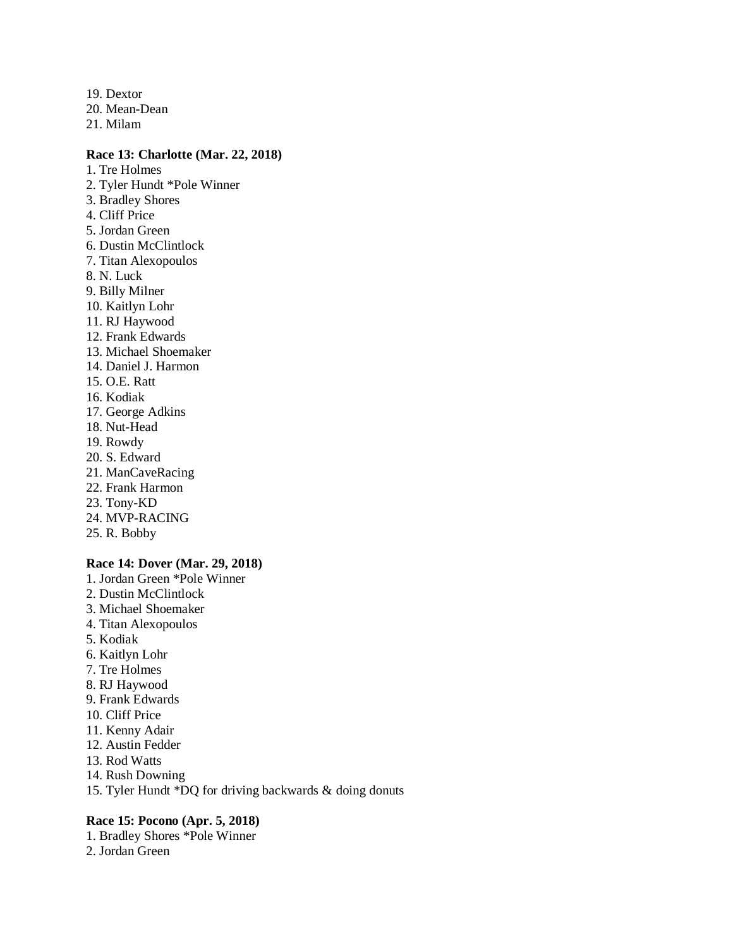19. Dextor 20. Mean-Dean

21. Milam

#### **Race 13: Charlotte (Mar. 22, 2018)**

- 1. Tre Holmes 2. Tyler Hundt \*Pole Winner 3. Bradley Shores 4. Cliff Price 5. Jordan Green 6. Dustin McClintlock 7. Titan Alexopoulos 8. N. Luck 9. Billy Milner 10. Kaitlyn Lohr 11. RJ Haywood 12. Frank Edwards 13. Michael Shoemaker 14. Daniel J. Harmon 15. O.E. Ratt 16. Kodiak 17. George Adkins 18. Nut-Head
- 19. Rowdy
- 20. S. Edward
- 21. ManCaveRacing
- 22. Frank Harmon
- 23. Tony-KD
- 24. MVP-RACING
- 25. R. Bobby

#### **Race 14: Dover (Mar. 29, 2018)**

- 1. Jordan Green \*Pole Winner
- 2. Dustin McClintlock
- 3. Michael Shoemaker
- 4. Titan Alexopoulos
- 5. Kodiak
- 6. Kaitlyn Lohr
- 7. Tre Holmes
- 8. RJ Haywood
- 9. Frank Edwards
- 10. Cliff Price
- 11. Kenny Adair
- 12. Austin Fedder
- 13. Rod Watts
- 14. Rush Downing
- 15. Tyler Hundt \*DQ for driving backwards & doing donuts

#### **Race 15: Pocono (Apr. 5, 2018)**

- 1. Bradley Shores \*Pole Winner
- 2. Jordan Green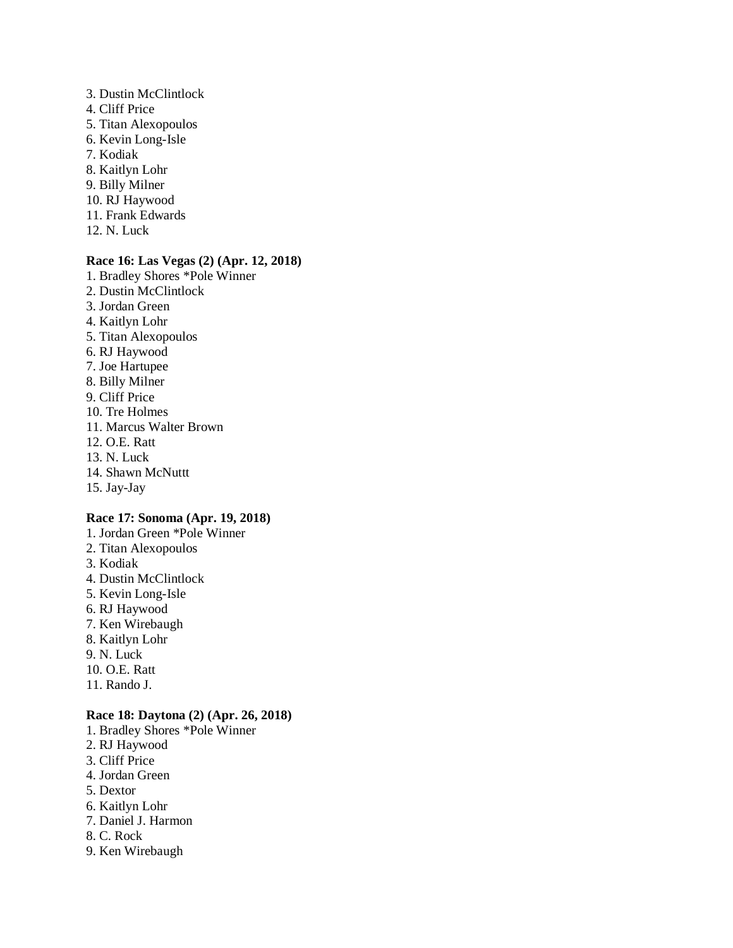- 3. Dustin McClintlock 4. Cliff Price 5. Titan Alexopoulos 6. Kevin Long-Isle 7. Kodiak 8. Kaitlyn Lohr 9. Billy Milner 10. RJ Haywood 11. Frank Edwards
- 12. N. Luck

#### **Race 16: Las Vegas (2) (Apr. 12, 2018)**

- 1. Bradley Shores \*Pole Winner
- 2. Dustin McClintlock
- 3. Jordan Green
- 4. Kaitlyn Lohr
- 5. Titan Alexopoulos
- 6. RJ Haywood
- 7. Joe Hartupee
- 8. Billy Milner
- 9. Cliff Price
- 10. Tre Holmes
- 11. Marcus Walter Brown
- 12. O.E. Ratt
- 13. N. Luck
- 14. Shawn McNuttt
- 15. Jay-Jay

#### **Race 17: Sonoma (Apr. 19, 2018)**

- 1. Jordan Green \*Pole Winner
- 2. Titan Alexopoulos
- 3. Kodiak
- 4. Dustin McClintlock
- 5. Kevin Long-Isle
- 6. RJ Haywood
- 7. Ken Wirebaugh
- 8. Kaitlyn Lohr
- 9. N. Luck
- 10. O.E. Ratt
- 11. Rando J.

# **Race 18: Daytona (2) (Apr. 26, 2018)**

- 1. Bradley Shores \*Pole Winner
- 2. RJ Haywood
- 3. Cliff Price
- 4. Jordan Green
- 5. Dextor
- 6. Kaitlyn Lohr
- 7. Daniel J. Harmon
- 8. C. Rock
- 9. Ken Wirebaugh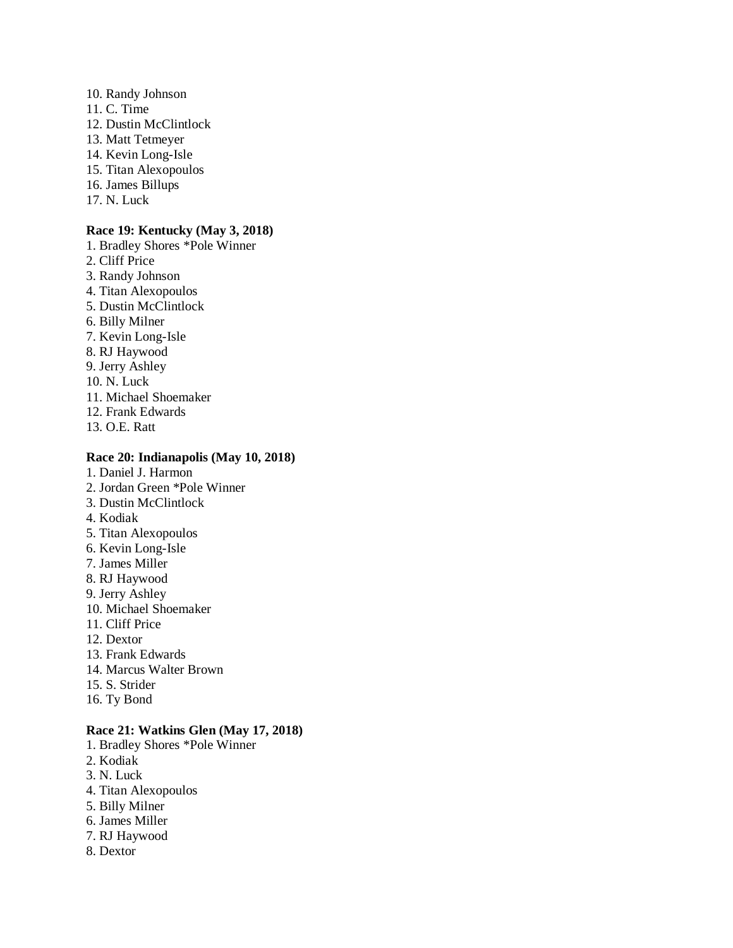10. Randy Johnson 11. C. Time 12. Dustin McClintlock 13. Matt Tetmeyer 14. Kevin Long-Isle 15. Titan Alexopoulos 16. James Billups 17. N. Luck

# **Race 19: Kentucky (May 3, 2018)**

1. Bradley Shores \*Pole Winner 2. Cliff Price 3. Randy Johnson 4. Titan Alexopoulos 5. Dustin McClintlock 6. Billy Milner 7. Kevin Long-Isle 8. RJ Haywood 9. Jerry Ashley 10. N. Luck 11. Michael Shoemaker 12. Frank Edwards 13. O.E. Ratt

# **Race 20: Indianapolis (May 10, 2018)**

- 1. Daniel J. Harmon
- 2. Jordan Green \*Pole Winner
- 3. Dustin McClintlock
- 4. Kodiak
- 5. Titan Alexopoulos
- 6. Kevin Long-Isle
- 7. James Miller
- 8. RJ Haywood
- 9. Jerry Ashley
- 10. Michael Shoemaker
- 11. Cliff Price
- 12. Dextor
- 13. Frank Edwards
- 14. Marcus Walter Brown
- 15. S. Strider
- 16. Ty Bond

# **Race 21: Watkins Glen (May 17, 2018)**

- 1. Bradley Shores \*Pole Winner
- 2. Kodiak
- 3. N. Luck
- 4. Titan Alexopoulos
- 5. Billy Milner
- 6. James Miller
- 7. RJ Haywood
- 8. Dextor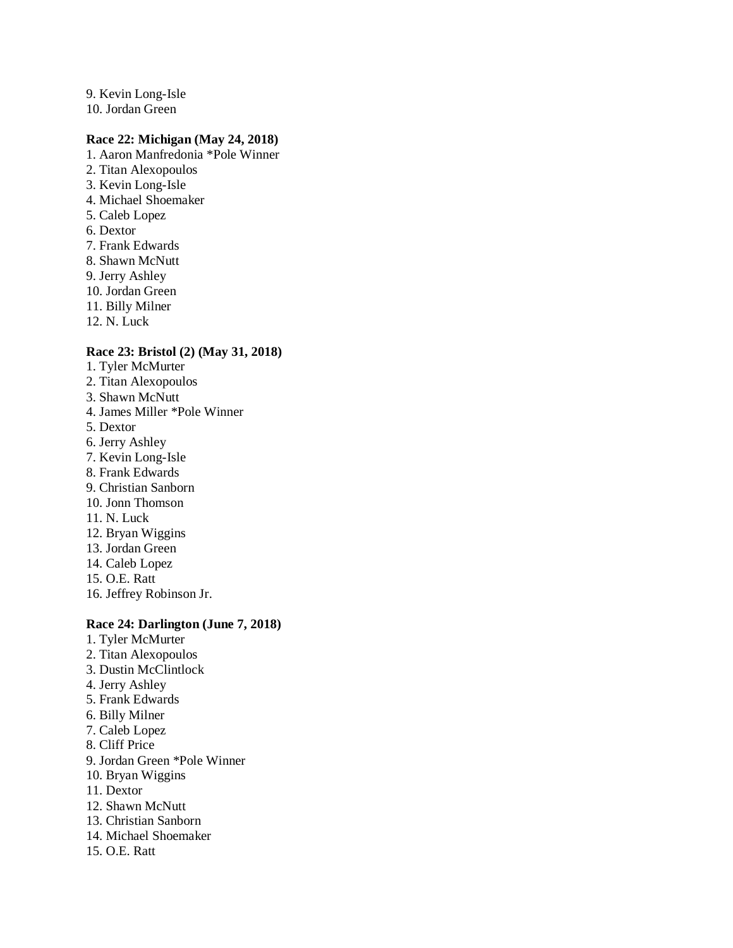9. Kevin Long-Isle 10. Jordan Green

# **Race 22: Michigan (May 24, 2018)**

- 1. Aaron Manfredonia \*Pole Winner
- 2. Titan Alexopoulos
- 3. Kevin Long-Isle
- 4. Michael Shoemaker
- 5. Caleb Lopez
- 6. Dextor
- 7. Frank Edwards
- 8. Shawn McNutt
- 9. Jerry Ashley
- 10. Jordan Green
- 11. Billy Milner
- 12. N. Luck

# **Race 23: Bristol (2) (May 31, 2018)**

- 1. Tyler McMurter
- 2. Titan Alexopoulos
- 3. Shawn McNutt
- 4. James Miller \*Pole Winner
- 5. Dextor
- 6. Jerry Ashley
- 7. Kevin Long-Isle
- 8. Frank Edwards
- 9. Christian Sanborn
- 10. Jonn Thomson
- 11. N. Luck
- 12. Bryan Wiggins
- 13. Jordan Green
- 14. Caleb Lopez
- 15. O.E. Ratt
- 16. Jeffrey Robinson Jr.

# **Race 24: Darlington (June 7, 2018)**

- 1. Tyler McMurter
- 2. Titan Alexopoulos
- 3. Dustin McClintlock
- 4. Jerry Ashley
- 5. Frank Edwards
- 6. Billy Milner
- 7. Caleb Lopez
- 8. Cliff Price
- 9. Jordan Green \*Pole Winner
- 10. Bryan Wiggins
- 11. Dextor
- 12. Shawn McNutt
- 13. Christian Sanborn
- 14. Michael Shoemaker
- 15. O.E. Ratt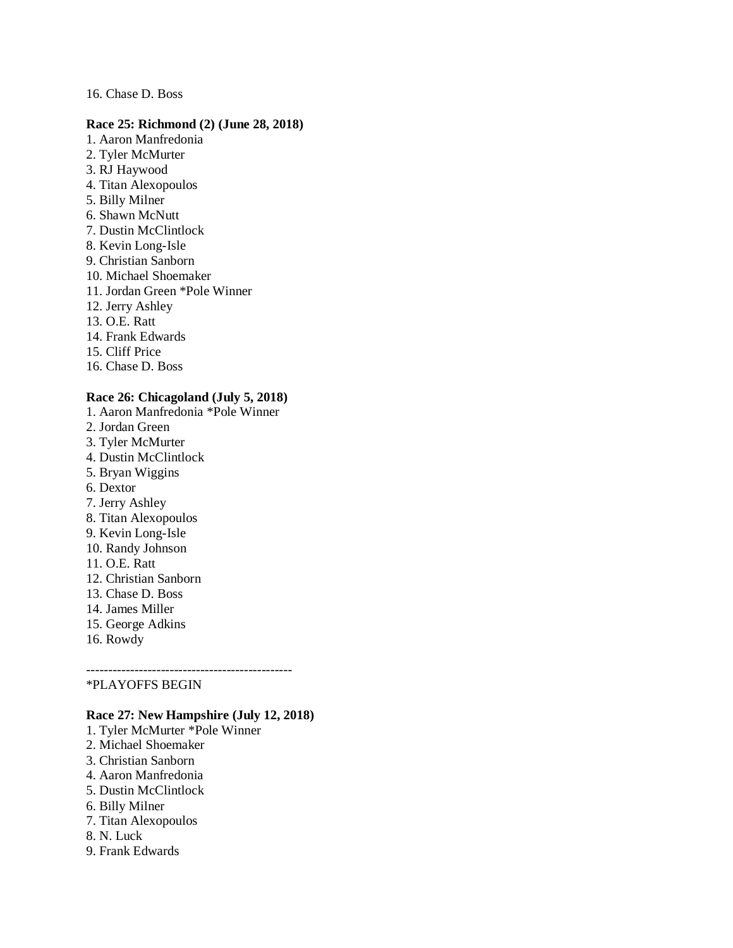#### 16. Chase D. Boss

#### **Race 25: Richmond (2) (June 28, 2018)**

- 1. Aaron Manfredonia
- 2. Tyler McMurter
- 3. RJ Haywood
- 4. Titan Alexopoulos
- 5. Billy Milner
- 6. Shawn McNutt
- 7. Dustin McClintlock
- 8. Kevin Long-Isle
- 9. Christian Sanborn
- 10. Michael Shoemaker
- 11. Jordan Green \*Pole Winner
- 12. Jerry Ashley
- 13. O.E. Ratt
- 14. Frank Edwards
- 15. Cliff Price
- 16. Chase D. Boss

# **Race 26: Chicagoland (July 5, 2018)**

- 1. Aaron Manfredonia \*Pole Winner
- 2. Jordan Green
- 3. Tyler McMurter
- 4. Dustin McClintlock
- 5. Bryan Wiggins
- 6. Dextor
- 7. Jerry Ashley
- 8. Titan Alexopoulos
- 9. Kevin Long-Isle
- 10. Randy Johnson
- 11. O.E. Ratt
- 12. Christian Sanborn
- 13. Chase D. Boss
- 14. James Miller
- 15. George Adkins
- 16. Rowdy

----------------------------------------------- \*PLAYOFFS BEGIN

# **Race 27: New Hampshire (July 12, 2018)**

- 1. Tyler McMurter \*Pole Winner
- 2. Michael Shoemaker
- 3. Christian Sanborn
- 4. Aaron Manfredonia
- 5. Dustin McClintlock
- 6. Billy Milner
- 7. Titan Alexopoulos
- 8. N. Luck
- 9. Frank Edwards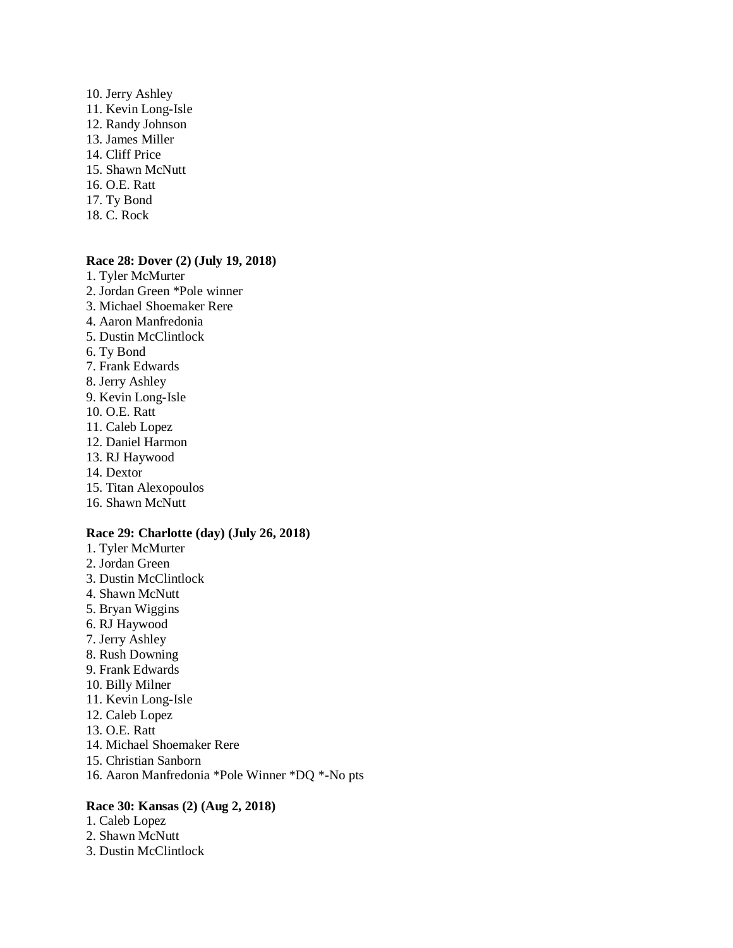10. Jerry Ashley 11. Kevin Long-Isle 12. Randy Johnson 13. James Miller 14. Cliff Price 15. Shawn McNutt 16. O.E. Ratt 17. Ty Bond 18. C. Rock

#### **Race 28: Dover (2) (July 19, 2018)**

- 1. Tyler McMurter
- 2. Jordan Green \*Pole winner
- 3. Michael Shoemaker Rere
- 4. Aaron Manfredonia
- 5. Dustin McClintlock
- 6. Ty Bond
- 7. Frank Edwards
- 8. Jerry Ashley
- 9. Kevin Long-Isle
- 10. O.E. Ratt
- 11. Caleb Lopez
- 12. Daniel Harmon
- 13. RJ Haywood
- 14. Dextor
- 15. Titan Alexopoulos
- 16. Shawn McNutt

#### **Race 29: Charlotte (day) (July 26, 2018)**

- 1. Tyler McMurter
- 2. Jordan Green
- 3. Dustin McClintlock
- 4. Shawn McNutt
- 5. Bryan Wiggins
- 6. RJ Haywood
- 7. Jerry Ashley
- 8. Rush Downing
- 9. Frank Edwards
- 10. Billy Milner
- 11. Kevin Long-Isle
- 12. Caleb Lopez
- 13. O.E. Ratt
- 14. Michael Shoemaker Rere
- 15. Christian Sanborn
- 16. Aaron Manfredonia \*Pole Winner \*DQ \*-No pts

# **Race 30: Kansas (2) (Aug 2, 2018)**

- 1. Caleb Lopez
- 2. Shawn McNutt
- 3. Dustin McClintlock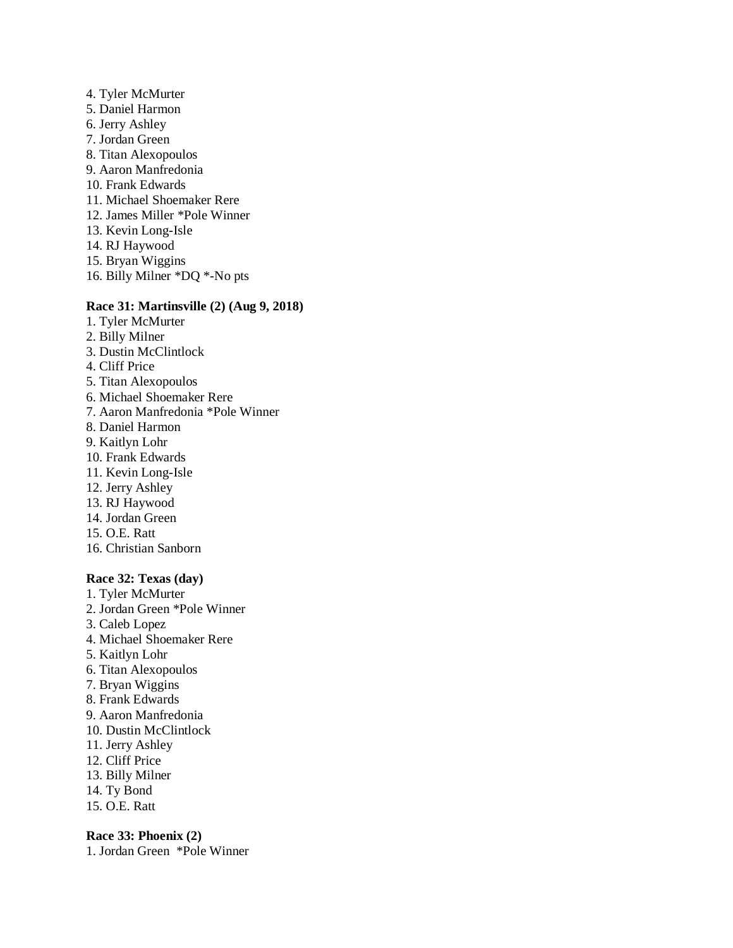4. Tyler McMurter 5. Daniel Harmon 6. Jerry Ashley 7. Jordan Green 8. Titan Alexopoulos 9. Aaron Manfredonia 10. Frank Edwards 11. Michael Shoemaker Rere 12. James Miller \*Pole Winner 13. Kevin Long-Isle 14. RJ Haywood 15. Bryan Wiggins 16. Billy Milner \*DQ \*-No pts

# **Race 31: Martinsville (2) (Aug 9, 2018)**

- 1. Tyler McMurter
- 2. Billy Milner
- 3. Dustin McClintlock
- 4. Cliff Price
- 5. Titan Alexopoulos
- 6. Michael Shoemaker Rere
- 7. Aaron Manfredonia \*Pole Winner
- 8. Daniel Harmon
- 9. Kaitlyn Lohr
- 10. Frank Edwards
- 11. Kevin Long-Isle
- 12. Jerry Ashley
- 13. RJ Haywood
- 14. Jordan Green
- 15. O.E. Ratt
- 16. Christian Sanborn

# **Race 32: Texas (day)**

- 1. Tyler McMurter
- 2. Jordan Green \*Pole Winner
- 3. Caleb Lopez
- 4. Michael Shoemaker Rere
- 5. Kaitlyn Lohr
- 6. Titan Alexopoulos
- 7. Bryan Wiggins
- 8. Frank Edwards
- 9. Aaron Manfredonia
- 10. Dustin McClintlock
- 11. Jerry Ashley
- 12. Cliff Price
- 13. Billy Milner
- 14. Ty Bond
- 15. O.E. Ratt

# **Race 33: Phoenix (2)**

1. Jordan Green \*Pole Winner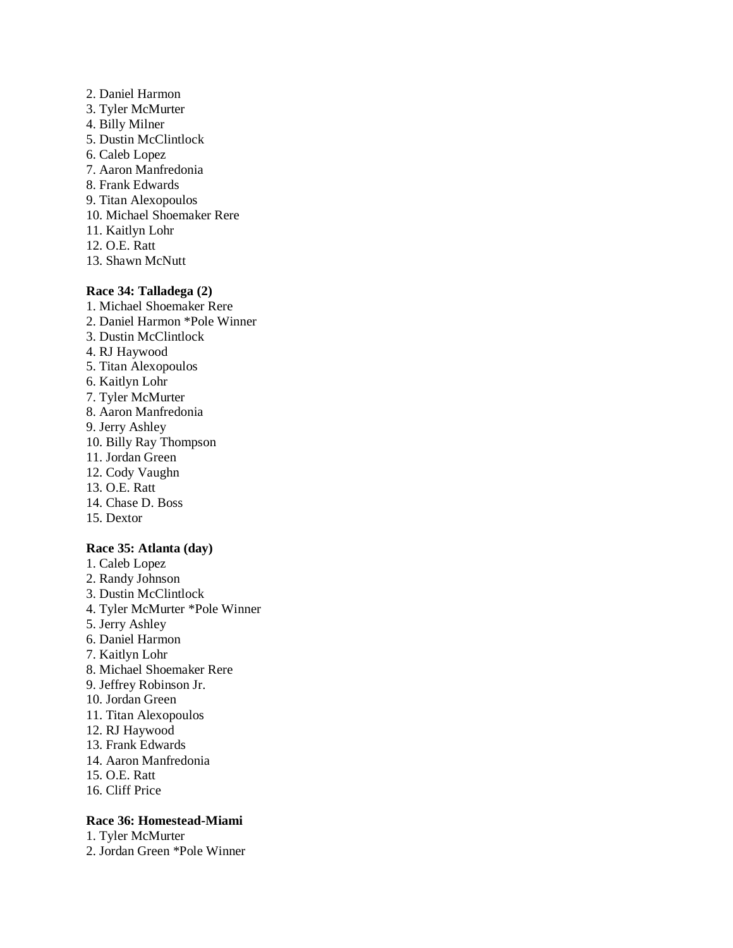- 2. Daniel Harmon 3. Tyler McMurter 4. Billy Milner 5. Dustin McClintlock 6. Caleb Lopez 7. Aaron Manfredonia 8. Frank Edwards 9. Titan Alexopoulos
- 10. Michael Shoemaker Rere
- 11. Kaitlyn Lohr
- 12. O.E. Ratt
- 13. Shawn McNutt

# **Race 34: Talladega (2)**

- 1. Michael Shoemaker Rere
- 2. Daniel Harmon \*Pole Winner
- 3. Dustin McClintlock
- 4. RJ Haywood
- 5. Titan Alexopoulos
- 6. Kaitlyn Lohr
- 7. Tyler McMurter
- 8. Aaron Manfredonia
- 9. Jerry Ashley
- 10. Billy Ray Thompson
- 11. Jordan Green
- 12. Cody Vaughn
- 13. O.E. Ratt
- 14. Chase D. Boss
- 15. Dextor

# **Race 35: Atlanta (day)**

- 1. Caleb Lopez
- 2. Randy Johnson
- 3. Dustin McClintlock
- 4. Tyler McMurter \*Pole Winner
- 5. Jerry Ashley
- 6. Daniel Harmon
- 7. Kaitlyn Lohr
- 8. Michael Shoemaker Rere
- 9. Jeffrey Robinson Jr.
- 10. Jordan Green
- 11. Titan Alexopoulos
- 12. RJ Haywood
- 13. Frank Edwards
- 14. Aaron Manfredonia
- 15. O.E. Ratt
- 16. Cliff Price

# **Race 36: Homestead-Miami**

1. Tyler McMurter

2. Jordan Green \*Pole Winner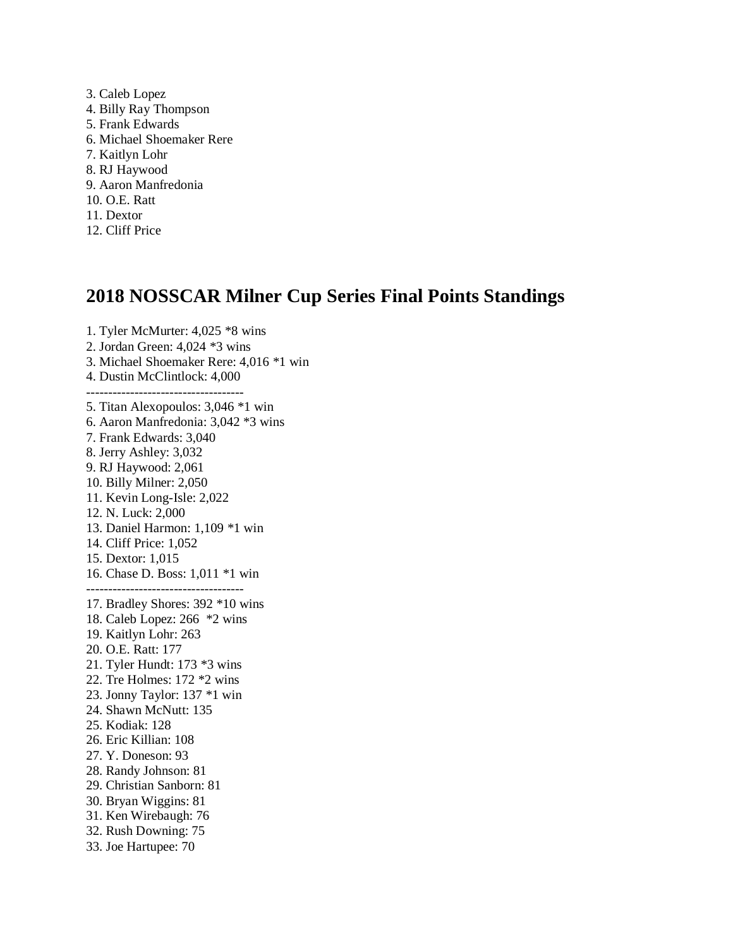3. Caleb Lopez 4. Billy Ray Thompson 5. Frank Edwards 6. Michael Shoemaker Rere 7. Kaitlyn Lohr 8. RJ Haywood 9. Aaron Manfredonia 10. O.E. Ratt 11. Dextor 12. Cliff Price

# **2018 NOSSCAR Milner Cup Series Final Points Standings**

1. Tyler McMurter: 4,025 \*8 wins 2. Jordan Green: 4,024 \*3 wins 3. Michael Shoemaker Rere: 4,016 \*1 win 4. Dustin McClintlock: 4,000 ------------------------------------ 5. Titan Alexopoulos: 3,046 \*1 win 6. Aaron Manfredonia: 3,042 \*3 wins 7. Frank Edwards: 3,040 8. Jerry Ashley: 3,032 9. RJ Haywood: 2,061 10. Billy Milner: 2,050 11. Kevin Long-Isle: 2,022 12. N. Luck: 2,000 13. Daniel Harmon: 1,109 \*1 win 14. Cliff Price: 1,052 15. Dextor: 1,015 16. Chase D. Boss: 1,011 \*1 win ------------------------------------ 17. Bradley Shores: 392 \*10 wins 18. Caleb Lopez: 266 \*2 wins 19. Kaitlyn Lohr: 263 20. O.E. Ratt: 177 21. Tyler Hundt: 173 \*3 wins 22. Tre Holmes: 172 \*2 wins 23. Jonny Taylor: 137 \*1 win 24. Shawn McNutt: 135 25. Kodiak: 128 26. Eric Killian: 108 27. Y. Doneson: 93 28. Randy Johnson: 81 29. Christian Sanborn: 81 30. Bryan Wiggins: 81 31. Ken Wirebaugh: 76 32. Rush Downing: 75 33. Joe Hartupee: 70